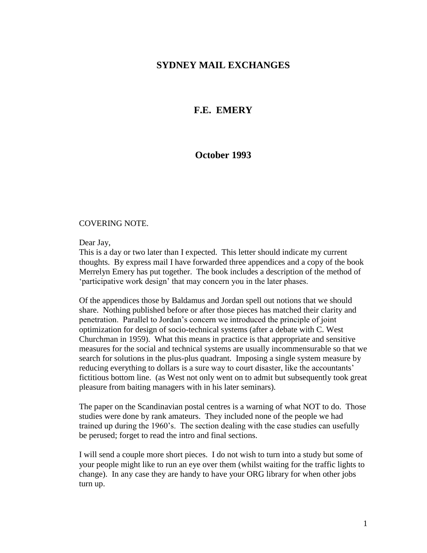## **SYDNEY MAIL EXCHANGES**

# **F.E. EMERY**

## **October 1993**

#### COVERING NOTE.

Dear Jay,

This is a day or two later than I expected. This letter should indicate my current thoughts. By express mail I have forwarded three appendices and a copy of the book Merrelyn Emery has put together. The book includes a description of the method of 'participative work design' that may concern you in the later phases.

Of the appendices those by Baldamus and Jordan spell out notions that we should share. Nothing published before or after those pieces has matched their clarity and penetration. Parallel to Jordan's concern we introduced the principle of joint optimization for design of socio-technical systems (after a debate with C. West Churchman in 1959). What this means in practice is that appropriate and sensitive measures for the social and technical systems are usually incommensurable so that we search for solutions in the plus-plus quadrant. Imposing a single system measure by reducing everything to dollars is a sure way to court disaster, like the accountants' fictitious bottom line. (as West not only went on to admit but subsequently took great pleasure from baiting managers with in his later seminars).

The paper on the Scandinavian postal centres is a warning of what NOT to do. Those studies were done by rank amateurs. They included none of the people we had trained up during the 1960's. The section dealing with the case studies can usefully be perused; forget to read the intro and final sections.

I will send a couple more short pieces. I do not wish to turn into a study but some of your people might like to run an eye over them (whilst waiting for the traffic lights to change). In any case they are handy to have your ORG library for when other jobs turn up.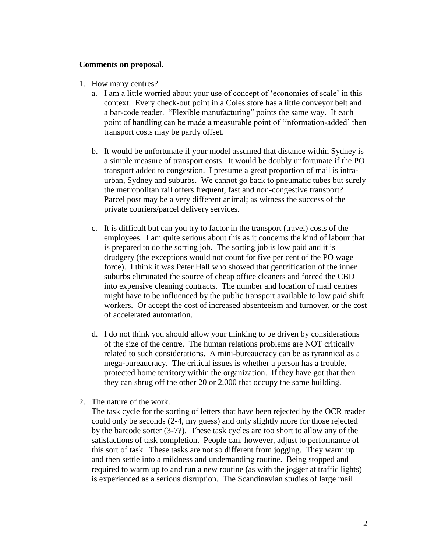#### **Comments on proposal.**

- 1. How many centres?
	- a. I am a little worried about your use of concept of 'economies of scale' in this context. Every check-out point in a Coles store has a little conveyor belt and a bar-code reader. "Flexible manufacturing" points the same way. If each point of handling can be made a measurable point of 'information-added' then transport costs may be partly offset.
	- b. It would be unfortunate if your model assumed that distance within Sydney is a simple measure of transport costs. It would be doubly unfortunate if the PO transport added to congestion. I presume a great proportion of mail is intraurban, Sydney and suburbs. We cannot go back to pneumatic tubes but surely the metropolitan rail offers frequent, fast and non-congestive transport? Parcel post may be a very different animal; as witness the success of the private couriers/parcel delivery services.
	- c. It is difficult but can you try to factor in the transport (travel) costs of the employees. I am quite serious about this as it concerns the kind of labour that is prepared to do the sorting job. The sorting job is low paid and it is drudgery (the exceptions would not count for five per cent of the PO wage force). I think it was Peter Hall who showed that gentrification of the inner suburbs eliminated the source of cheap office cleaners and forced the CBD into expensive cleaning contracts. The number and location of mail centres might have to be influenced by the public transport available to low paid shift workers. Or accept the cost of increased absenteeism and turnover, or the cost of accelerated automation.
	- d. I do not think you should allow your thinking to be driven by considerations of the size of the centre. The human relations problems are NOT critically related to such considerations. A mini-bureaucracy can be as tyrannical as a mega-bureaucracy. The critical issues is whether a person has a trouble, protected home territory within the organization. If they have got that then they can shrug off the other 20 or 2,000 that occupy the same building.
- 2. The nature of the work.

The task cycle for the sorting of letters that have been rejected by the OCR reader could only be seconds (2-4, my guess) and only slightly more for those rejected by the barcode sorter (3-7?). These task cycles are too short to allow any of the satisfactions of task completion. People can, however, adjust to performance of this sort of task. These tasks are not so different from jogging. They warm up and then settle into a mildness and undemanding routine. Being stopped and required to warm up to and run a new routine (as with the jogger at traffic lights) is experienced as a serious disruption. The Scandinavian studies of large mail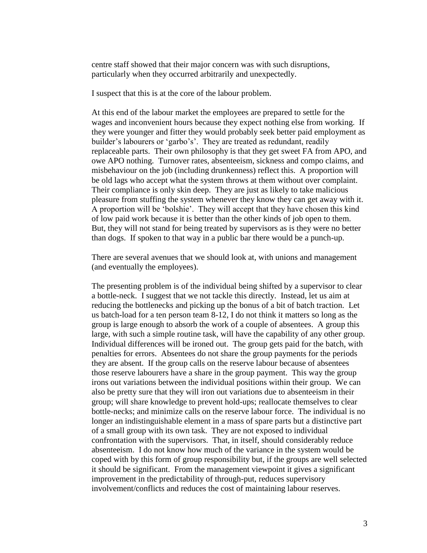centre staff showed that their major concern was with such disruptions, particularly when they occurred arbitrarily and unexpectedly.

I suspect that this is at the core of the labour problem.

At this end of the labour market the employees are prepared to settle for the wages and inconvenient hours because they expect nothing else from working. If they were younger and fitter they would probably seek better paid employment as builder's labourers or 'garbo's'. They are treated as redundant, readily replaceable parts. Their own philosophy is that they get sweet FA from APO, and owe APO nothing. Turnover rates, absenteeism, sickness and compo claims, and misbehaviour on the job (including drunkenness) reflect this. A proportion will be old lags who accept what the system throws at them without over complaint. Their compliance is only skin deep. They are just as likely to take malicious pleasure from stuffing the system whenever they know they can get away with it. A proportion will be 'bolshie'. They will accept that they have chosen this kind of low paid work because it is better than the other kinds of job open to them. But, they will not stand for being treated by supervisors as is they were no better than dogs. If spoken to that way in a public bar there would be a punch-up.

There are several avenues that we should look at, with unions and management (and eventually the employees).

The presenting problem is of the individual being shifted by a supervisor to clear a bottle-neck. I suggest that we not tackle this directly. Instead, let us aim at reducing the bottlenecks and picking up the bonus of a bit of batch traction. Let us batch-load for a ten person team 8-12, I do not think it matters so long as the group is large enough to absorb the work of a couple of absentees. A group this large, with such a simple routine task, will have the capability of any other group. Individual differences will be ironed out. The group gets paid for the batch, with penalties for errors. Absentees do not share the group payments for the periods they are absent. If the group calls on the reserve labour because of absentees those reserve labourers have a share in the group payment. This way the group irons out variations between the individual positions within their group. We can also be pretty sure that they will iron out variations due to absenteeism in their group; will share knowledge to prevent hold-ups; reallocate themselves to clear bottle-necks; and minimize calls on the reserve labour force. The individual is no longer an indistinguishable element in a mass of spare parts but a distinctive part of a small group with its own task. They are not exposed to individual confrontation with the supervisors. That, in itself, should considerably reduce absenteeism. I do not know how much of the variance in the system would be coped with by this form of group responsibility but, if the groups are well selected it should be significant. From the management viewpoint it gives a significant improvement in the predictability of through-put, reduces supervisory involvement/conflicts and reduces the cost of maintaining labour reserves.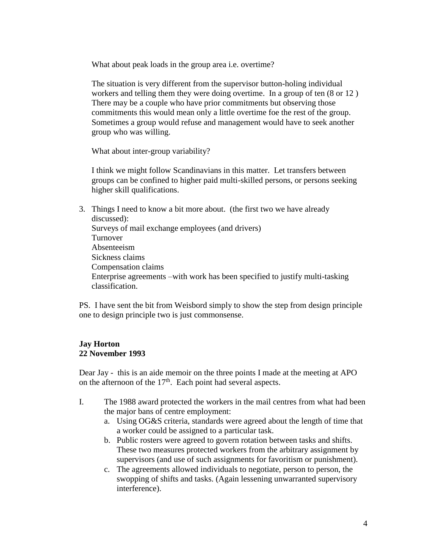What about peak loads in the group area i.e. overtime?

The situation is very different from the supervisor button-holing individual workers and telling them they were doing overtime. In a group of ten (8 or 12 ) There may be a couple who have prior commitments but observing those commitments this would mean only a little overtime foe the rest of the group. Sometimes a group would refuse and management would have to seek another group who was willing.

What about inter-group variability?

I think we might follow Scandinavians in this matter. Let transfers between groups can be confined to higher paid multi-skilled persons, or persons seeking higher skill qualifications.

3. Things I need to know a bit more about. (the first two we have already discussed): Surveys of mail exchange employees (and drivers) Turnover Absenteeism Sickness claims Compensation claims Enterprise agreements –with work has been specified to justify multi-tasking classification.

PS. I have sent the bit from Weisbord simply to show the step from design principle one to design principle two is just commonsense.

### **Jay Horton 22 November 1993**

Dear Jay - this is an aide memoir on the three points I made at the meeting at APO on the afternoon of the  $17<sup>th</sup>$ . Each point had several aspects.

- I. The 1988 award protected the workers in the mail centres from what had been the major bans of centre employment:
	- a. Using OG&S criteria, standards were agreed about the length of time that a worker could be assigned to a particular task.
	- b. Public rosters were agreed to govern rotation between tasks and shifts. These two measures protected workers from the arbitrary assignment by supervisors (and use of such assignments for favoritism or punishment).
	- c. The agreements allowed individuals to negotiate, person to person, the swopping of shifts and tasks. (Again lessening unwarranted supervisory interference).